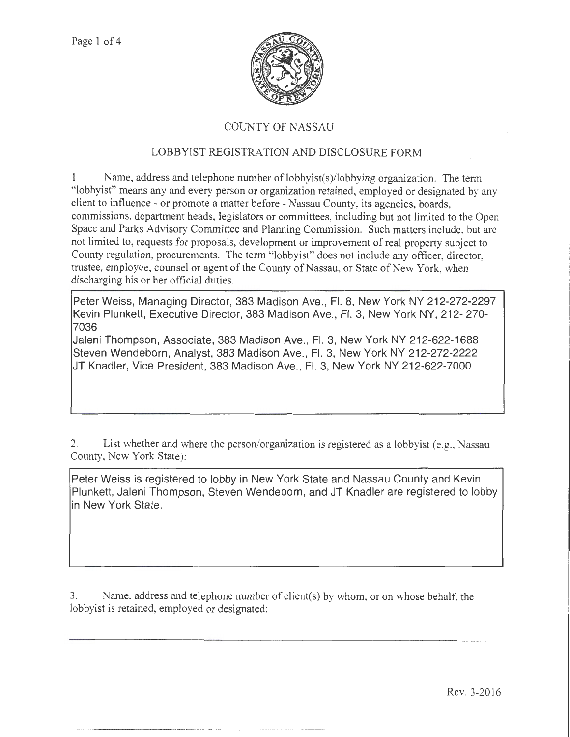

## COUNTY OF NASSAU

## LOBBYIST REGISTRATION AND DISCLOSURE FORM

1. Name, address and telephone number of lobbyist(s)/lobbying organization. The term "lobbyist" means any and every person or organization retained, employed or designated by any client to influence- or promote a matter before- Nassau County, its agencies, boards, commissions, department heads, legislators or committees, including but not limited to the Open Space and Parks Advisory Committee and Planning Commission. Such matters include, but arc not limited to, requests for proposals, development or improvement of real property subject to County regulation, procurements. The term "lobbyist" does not include any officer, director, trustee, employee, counsel or agent of the County of Nassau, or State of New York, when discharging his or her official duties.

Peter Weiss, Managing Director, 383 Madison Ave., Fl. 8, New York NY 212-272-2297 Kevin Plunkett, Executive Director, 383 Madison Ave., Fl. 3, New York NY, 212-270- 7036

Jaleni Thompson, Associate, 383 Madison Ave., Fl. 3, New York NY 212-622-1688 Steven Wendeborn, Analyst, 383 Madison Ave., Fl. 3, New York NY 212-272-2222 JT Knadler, Vice President, 383 Madison Ave., Fl. 3, New York NY 212-622-7000

2. List whether and where the person/organization is registered as a lobbyist (e.g., Nassau County, New York State):

Peter Weiss is registered to lobby in New York State and Nassau County and Kevin Plunkett, Jaleni Thompson, Steven Wendeborn, and JT Knadler are registered to lobby in New York State.

3. Name, address and telephone number of client(s) by whom, or on whose behalf, the lobbyist is retained, employed or designated: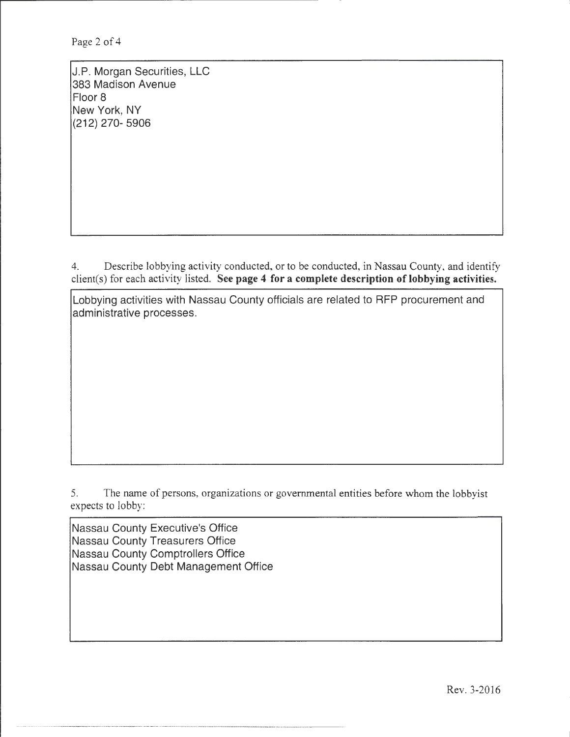J.P. Morgan Securities, LLC 383 Madison Avenue Floor 8 New York, NY (212) 270- 5906

4. Describe lobbying activity conducted, or to be conducted, in Nassau County, and identify client(s) for each activity listed. See page 4 for a complete description of lobbying activities.

Lobbying activities with Nassau County officials are related to RFP procurement and administrative processes.

5. The name of persons, organizations or governmental entities before whom the lobbyist expects to lobby:

Nassau County Executive's Office Nassau County Treasurers Office Nassau County Comptrollers Office Nassau County Debt Management Office